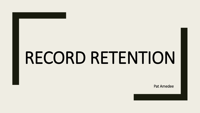Pat Amedee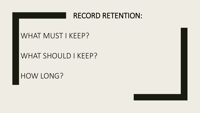#### WHAT MUST I KEEP?

#### WHAT SHOULD I KEEP?

HOW LONG?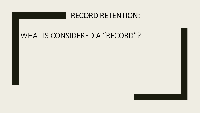#### WHAT IS CONSIDERED A "RECORD"?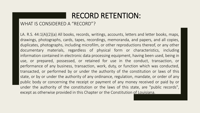#### WHAT IS CONSIDERED A "RECORD"?

LA. R.S. 44:1(A)(2)(a) All books, records, writings, accounts, letters and letter books, maps, drawings, photographs, cards, tapes, recordings, memoranda, and papers, and all copies, duplicates, photographs, including microfilm, or other reproductions thereof, or any other documentary materials, regardless of physical form or characteristics, including information contained in electronic data processing equipment, having been used, being in use, or prepared, possessed, or retained for use in the conduct, transaction, or performance of any business, transaction, work, duty, or function which was conducted, transacted, or performed by or under the authority of the constitution or laws of this state, or by or under the authority of any ordinance, regulation, mandate, or order of any public body or concerning the receipt or payment of any money received or paid by or under the authority of the constitution or the laws of this state, are "public records", except as otherwise provided in this Chapter or the Constitution of Louisiana.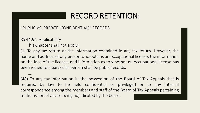#### "PUBLIC VS. PRIVATE (CONFIDENTIAL)" RECORDS

RS 44:§4. Applicability

….

This Chapter shall not apply:

(1) To any tax return or the information contained in any tax return. However, the name and address of any person who obtains an occupational license, the information on the face of the license, and information as to whether an occupational license has been issued to a particular person shall be public records.

(48) To any tax information in the possession of the Board of Tax Appeals that is required by law to be held confidential or privileged or to any internal correspondence among the members and staff of the Board of Tax Appeals pertaining to discussion of a case being adjudicated by the board.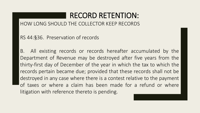HOW LONG SHOULD THE COLLECTOR KEEP RECORDS

RS 44:§36. Preservation of records

B. All existing records or records hereafter accumulated by the Department of Revenue may be destroyed after five years from the thirty-first day of December of the year in which the tax to which the records pertain became due; provided that these records shall not be destroyed in any case where there is a contest relative to the payment of taxes or where a claim has been made for a refund or where litigation with reference thereto is pending.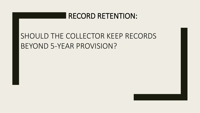# SHOULD THE COLLECTOR KEEP RECORDS BEYOND 5-YEAR PROVISION?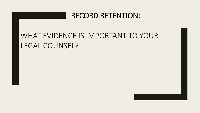# WHAT EVIDENCE IS IMPORTANT TO YOUR LEGAL COUNSEL?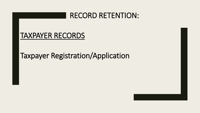#### TAXPAYER RECORDS

# Taxpayer Registration/Application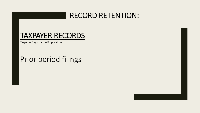#### TAXPAYER RECORDS

Taxpayer Registration/Application

# Prior period filings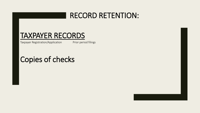#### TAXPAYER RECORDS

Taxpayer Registration/Application Prior period filings

# Copies of checks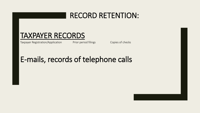#### TAXPAYER RECORDS

Taxpayer Registration/Application Prior period filings Copies of checks

# E-mails, records of telephone calls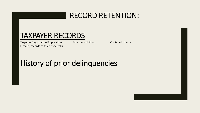#### TAXPAYER RECORDS

Taxpayer Registration/Application Prior period filings Copies of checks E-mails, records of telephone calls

# History of prior delinquencies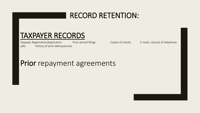#### TAXPAYER RECORDS

Taxpayer Registration/Application Prior period filings Copies of checks E-mails, records of telephone calls History of prior delinquencies

#### Prior repayment agreements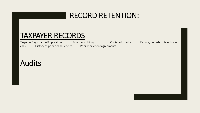#### TAXPAYER RECORDS

Taxpayer Registration/Application Prior period filings Copies of checks E-mails, records of telephone calls History of prior delinquencies Prior repayment agreements

# Audits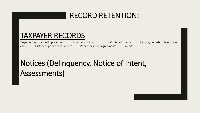#### TAXPAYER RECORDS

Taxpayer Registration/Application Prior period filings Copies of checks E-mails, records of telephone calls History of prior delinquencies Prior repayment agreements Audits

# Notices (Delinquency, Notice of Intent, Assessments)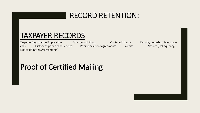#### TAXPAYER RECORDS

Taxpayer Registration/Application Prior period filings Copies of checks E-mails, records of telephone calls History of prior delinquencies Prior repayment agreements Audits Notices (Delinquency, Notice of Intent, Assessments)

# Proof of Certified Mailing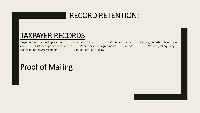#### TAXPAYER RECORDS

Notice of Intent, Assessments) Proof of Certified Mailing

Taxpayer Registration/Application Prior period filings Copies of checks E-mails, records of telephone calls History of prior delinquencies Prior repayment agreements Audits Notices (Delinquency,

# Proof of Mailing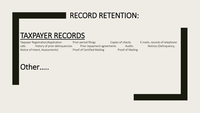#### TAXPAYER RECORDS

Taxpayer Registration/Application Prior period filings Copies of checks E-mails, records of telephone calls History of prior delinquencies Prior repayment agreements Audits Notices (Delinquency, Notice of Intent, Assessments) Proof of Certified Mailing Proof of Mailing

#### Other…..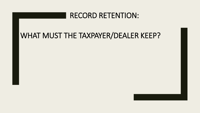# WHAT MUST THE TAXPAYER/DEALER KEEP?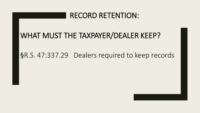# WHAT MUST THE TAXPAYER/DEALER KEEP?

#### §R.S. 47:337.29 Dealers required to keep records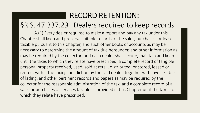#### §R.S. 47:337.29 Dealers required to keep records

A.(1) Every dealer required to make a report and pay any tax under this Chapter shall keep and preserve suitable records of the sales, purchases, or leases taxable pursuant to this Chapter, and such other books of accounts as may be necessary to determine the amount of tax due hereunder, and other information as may be required by the collector; and each dealer shall secure, maintain and keep until the taxes to which they relate have prescribed, a complete record of tangible personal property received, used, sold at retail, distributed, or stored, leased or rented, within the taxing jurisdiction by the said dealer, together with invoices, bills of lading, and other pertinent records and papers as may be required by the collector for the reasonable administration of the tax, and a complete record of all sales or purchases of services taxable as provided in this Chapter until the taxes to which they relate have prescribed.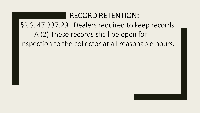# RECORD RETENTION: §R.S. 47:337.29 Dealers required to keep records A (2) These records shall be open for

inspection to the collector at all reasonable hours.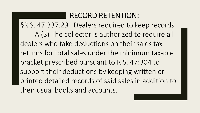§R.S. 47:337.29 Dealers required to keep records A (3) The collector is authorized to require all dealers who take deductions on their sales tax returns for total sales under the minimum taxable bracket prescribed pursuant to R.S. 47:304 to support their deductions by keeping written or printed detailed records of said sales in addition to their usual books and accounts.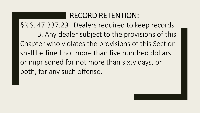§R.S. 47:337.29 Dealers required to keep records B. Any dealer subject to the provisions of this Chapter who violates the provisions of this Section shall be fined not more than five hundred dollars or imprisoned for not more than sixty days, or both, for any such offense.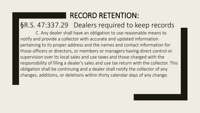#### §R.S. 47:337.29 Dealers required to keep records

C. Any dealer shall have an obligation to use reasonable means to notify and provide a collector with accurate and updated information pertaining to its proper address and the names and contact information for those officers or directors, or members or managers having direct control or supervision over its local sales and use taxes and those charged with the responsibility of filing a dealer's sales and use tax return with the collector. This obligation shall be continuing and a dealer shall notify the collector of any changes, additions, or deletions within thirty calendar days of any change.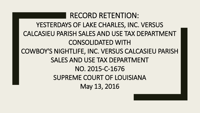RECORD RETENTION: YESTERDAYS OF LAKE CHARLES, INC. VERSUS CALCASIEU PARISH SALES AND USE TAX DEPARTMENT CONSOLIDATED WITH COWBOY'S NIGHTLIFE, INC. VERSUS CALCASIEU PARISH SALES AND USE TAX DEPARTMENT NO. 2015-C-1676 SUPREME COURT OF LOUISIANA May 13, 2016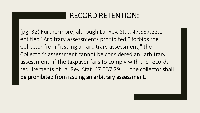(pg. 32) Furthermore, although La. Rev. Stat. 47:337.28.1, entitled "Arbitrary assessments prohibited," forbids the Collector from "issuing an arbitrary assessment," the Collector's assessment cannot be considered an "arbitrary assessment" if the taxpayer fails to comply with the records requirements of La. Rev. Stat. 47:337.29. …, the collector shall be prohibited from issuing an arbitrary assessment.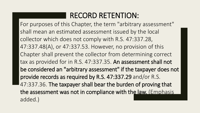For purposes of this Chapter, the term "arbitrary assessment" shall mean an estimated assessment issued by the local collector which does not comply with R.S. 47:337.28, 47:337.48(A), or 47:337.53. However, no provision of this Chapter shall prevent the collector from determining correct tax as provided for in R.S. 47:337.35. An assessment shall not be considered an "arbitrary assessment" if the taxpayer does not provide records as required by R.S. 47:337.29 and/or R.S. 47:337.36. The taxpayer shall bear the burden of proving that the assessment was not in compliance with the law. (Emphasis added.)